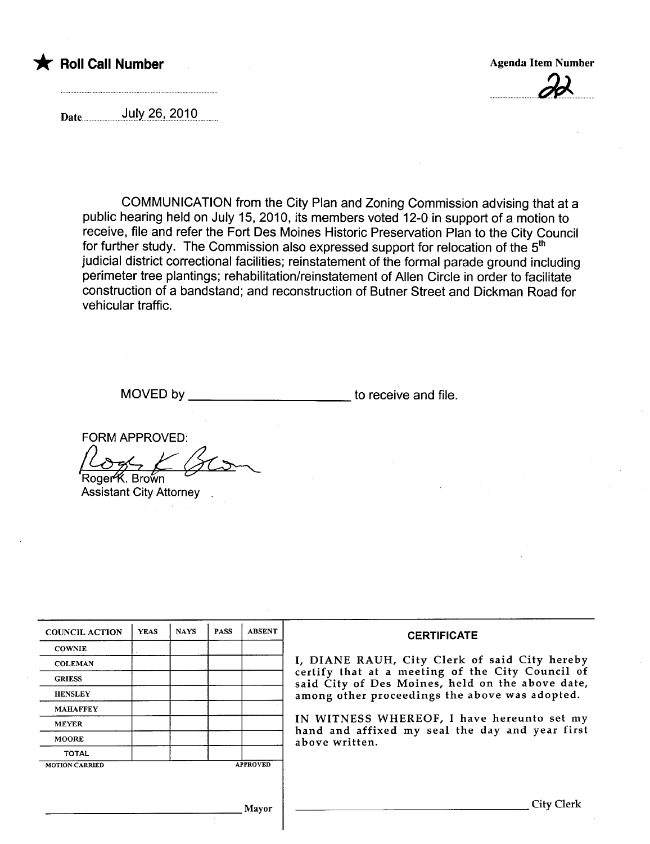



Date July 26, 2010

COMMUNICATION from the City Plan and Zoning Commission advising that at a public hearing held on July 15, 2010, its members voted 12-0 in support of a motion to receive, file and refer the Fort Des Moines Historic Preservation Plan to the City Council for further study. The Commission also expressed support for relocation of the 5<sup>th</sup> judicial district correctional facilities; reinstatement of the formal parade ground including perimeter tree plantings; rehabilitation/reinstatement of Allen Circle in order to facilitate construction of a bandstand; and reconstruction of Butner Street and Dickman Road for vehicular traffic.

MOVED by \_\_\_\_\_\_\_\_\_\_\_\_\_\_\_\_\_\_\_\_\_\_\_\_\_\_\_\_\_\_\_ to receive and file.

FORM APPROVED:

Roger K. Brown Assistant City Attorney

| <b>COUNCIL ACTION</b> | <b>YEAS</b> | <b>NAYS</b> | <b>PASS</b> | <b>ABSENT</b>   | <b>CERTIFICATE</b>                                                                                   |  |  |  |  |  |  |
|-----------------------|-------------|-------------|-------------|-----------------|------------------------------------------------------------------------------------------------------|--|--|--|--|--|--|
| <b>COWNIE</b>         |             |             |             |                 |                                                                                                      |  |  |  |  |  |  |
| <b>COLEMAN</b>        |             |             |             |                 | I, DIANE RAUH, City Clerk of said City hereby                                                        |  |  |  |  |  |  |
| <b>GRIESS</b>         |             |             |             |                 | certify that at a meeting of the City Council of<br>said City of Des Moines, held on the above date, |  |  |  |  |  |  |
| <b>HENSLEY</b>        |             |             |             |                 | among other proceedings the above was adopted.                                                       |  |  |  |  |  |  |
| <b>MAHAFFEY</b>       |             |             |             |                 |                                                                                                      |  |  |  |  |  |  |
| <b>MEYER</b>          |             |             |             |                 | IN WITNESS WHEREOF, I have hereunto set my<br>hand and affixed my seal the day and year first        |  |  |  |  |  |  |
| <b>MOORE</b>          |             |             |             |                 | above written.                                                                                       |  |  |  |  |  |  |
| <b>TOTAL</b>          |             |             |             |                 |                                                                                                      |  |  |  |  |  |  |
| <b>MOTION CARRIED</b> |             |             |             | <b>APPROVED</b> |                                                                                                      |  |  |  |  |  |  |
|                       |             |             |             |                 |                                                                                                      |  |  |  |  |  |  |
|                       |             |             |             |                 |                                                                                                      |  |  |  |  |  |  |
| Mayor                 |             |             |             |                 | City Clerk                                                                                           |  |  |  |  |  |  |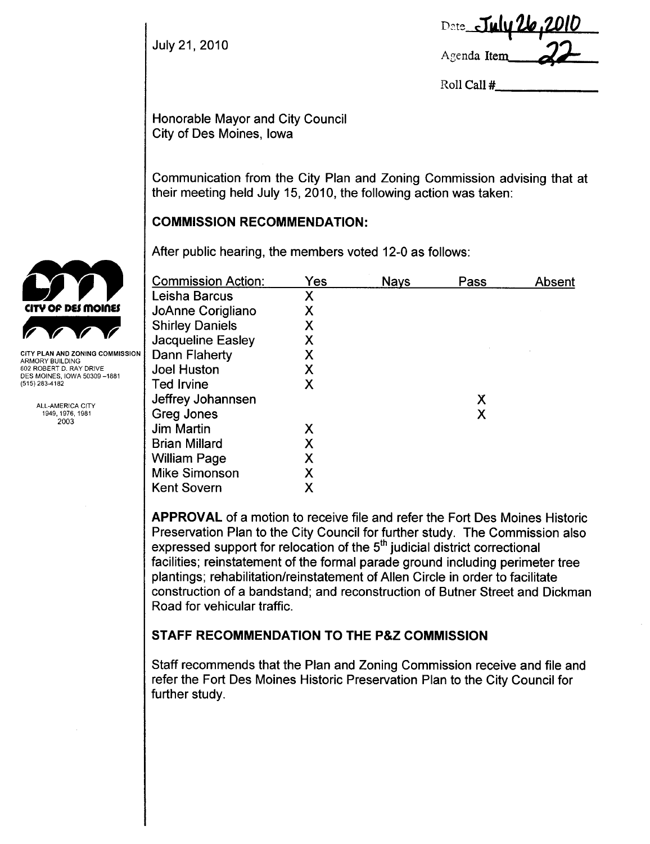|               | Date July 26, 2010 |
|---------------|--------------------|
| July 21, 2010 | Agenda Item 22     |

Roll Call #

Honorable Mayor and City Council City of Des Moines, Iowa

Communication from the City Plan and Zoning Commission advising that at their meeting held July 15, 2010, the following action was taken:

### COMMISSION RECOMMENDATION:

|                                                | After public hearing, the members voted 12-0 as follows: |     |             |      |        |  |  |  |
|------------------------------------------------|----------------------------------------------------------|-----|-------------|------|--------|--|--|--|
|                                                | <b>Commission Action:</b>                                | Yes | <b>Nays</b> | Pass | Absent |  |  |  |
|                                                | Leisha Barcus                                            | Χ   |             |      |        |  |  |  |
| CITY OF DES MOINES                             | JoAnne Corigliano                                        | Χ   |             |      |        |  |  |  |
|                                                | <b>Shirley Daniels</b>                                   | Χ   |             |      |        |  |  |  |
|                                                | <b>Jacqueline Easley</b>                                 | X   |             |      |        |  |  |  |
| <b>CITY PLAN AND ZONING COMMISSION</b>         | Dann Flaherty                                            | Χ   |             |      |        |  |  |  |
| ARMORY BUILDING<br>602 ROBERT D. RAY DRIVE     | <b>Joel Huston</b>                                       | Χ   |             |      |        |  |  |  |
| DES MOINES, IOWA 50309 –1881<br>(515) 283-4182 | Ted Irvine                                               | Χ   |             |      |        |  |  |  |
|                                                | Jeffrey Johannsen                                        |     |             | Χ    |        |  |  |  |
| ALL-AMERICA CITY<br>1949, 1976, 1981           | Greg Jones                                               |     |             | Χ    |        |  |  |  |
| 2003                                           | <b>Jim Martin</b>                                        | Χ   |             |      |        |  |  |  |
|                                                | <b>Brian Millard</b>                                     | Χ   |             |      |        |  |  |  |
|                                                | <b>William Page</b>                                      | Χ   |             |      |        |  |  |  |
|                                                | <b>Mike Simonson</b>                                     | Χ   |             |      |        |  |  |  |
|                                                | <b>Kent Sovern</b>                                       | Χ   |             |      |        |  |  |  |
|                                                |                                                          |     |             |      |        |  |  |  |

APPROVAL of a motion to receive file and refer the Fort Des Moines Historic Preservation Plan to the City Council for further study. The Commission also expressed support for relocation of the 5<sup>th</sup> judicial district correctional facilities; reinstatement of the formal parade ground including perimeter tree plantings; rehabilitation/reinstatement of Allen Circle in order to facilitate construction of a bandstand; and reconstruction of Butner Street and Dickman Road for vehicular traffic.

### STAFF RECOMMENDATION TO THE P&Z COMMISSION

Staff recommends that the Plan and Zoning Commission receive and file and refer the Fort Des Moines Historic Preservation Plan to the City Council for further study.

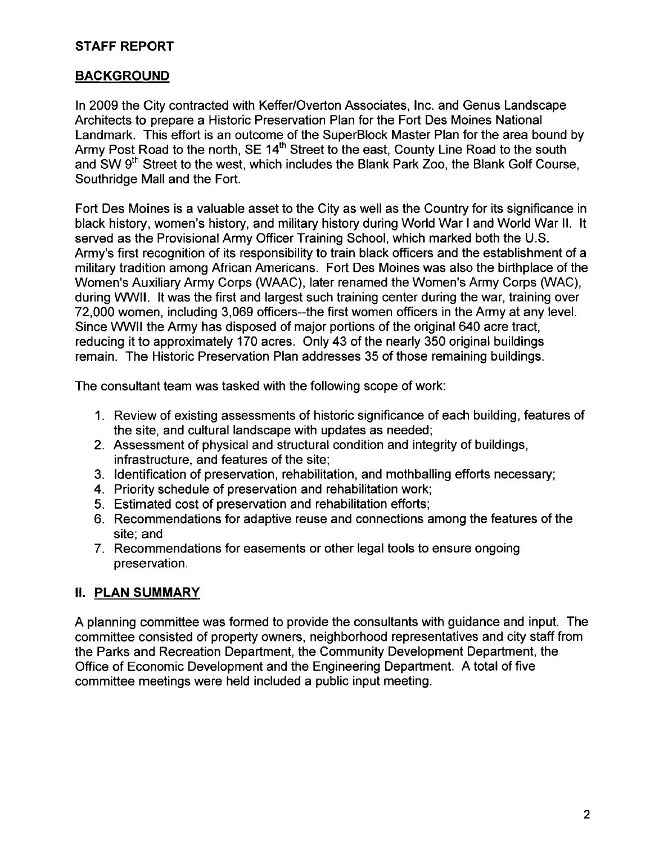# STAFF REPORT

# BACKGROUND

In 2009 the City contracted with Keffer/Overton Associates, Inc. and Genus Landscape Architects to prepare a Historic Preservation Plan for the Fort Des Moines National Landmark. This effort is an outcome of the SuperBlock Master Plan for the area bound by Army Post Road to the north, SE 14<sup>th</sup> Street to the east, County Line Road to the south and SW 9<sup>th</sup> Street to the west, which includes the Blank Park Zoo, the Blank Golf Course, Southridge Mall and the Fort.

Fort Des Moines is a valuable asset to the City as well as the Country for its significance in black history, women's history, and military history during World War I and World War II. It served as the Provisional Army Officer Training School, which marked both the U.S. Army's first recognition of its responsibility to train black officers and the establishment of a military tradition among African Americans. Fort Des Moines was also the birthplace of the Women's Auxiliary Army Corps (WAAC), later renamed the Women's Army Corps (WAC), during WWII. It was the first and largest such training center during the war, training over 72,000 women, including 3,069 officers--the first women officers in the Army at any leveL. Since WWIL the Army has disposed of major portions of the original 640 acre tract, reducing it to approximately 170 acres. Only 43 of the nearly 350 original buildings remain. The Historic Preservation Plan addresses 35 of those remaining buildings.

The consultant team was tasked with the following scope of work:

- 1. Review of existing assessments of historic significance of each building, features of the site, and cultural landscape with updates as needed;
- 2. Assessment of physical and structural condition and integrity of buildings, infrastructure, and features of the site;
- 3. Identification of preservation, rehabilitation, and mothballing efforts necessary;
- 4. Priority schedule of preservation and rehabilitation work;
- 5. Estimated cost of preservation and rehabilitation efforts;
- 6. Recommendations for adaptive reuse and connections among the features of the site; and
- 7. Recommendations for easements or other legal tools to ensure ongoing preservation.

# II. PLAN SUMMARY

A planning committee was formed to provide the consultants with guidance and input. The committee consisted of property owners, neighborhood representatives and city staff from the Parks and Recreation Department, the Community Development Department, the Office of Economic Development and the Engineering Department. A total of five committee meetings were held included a public input meeting.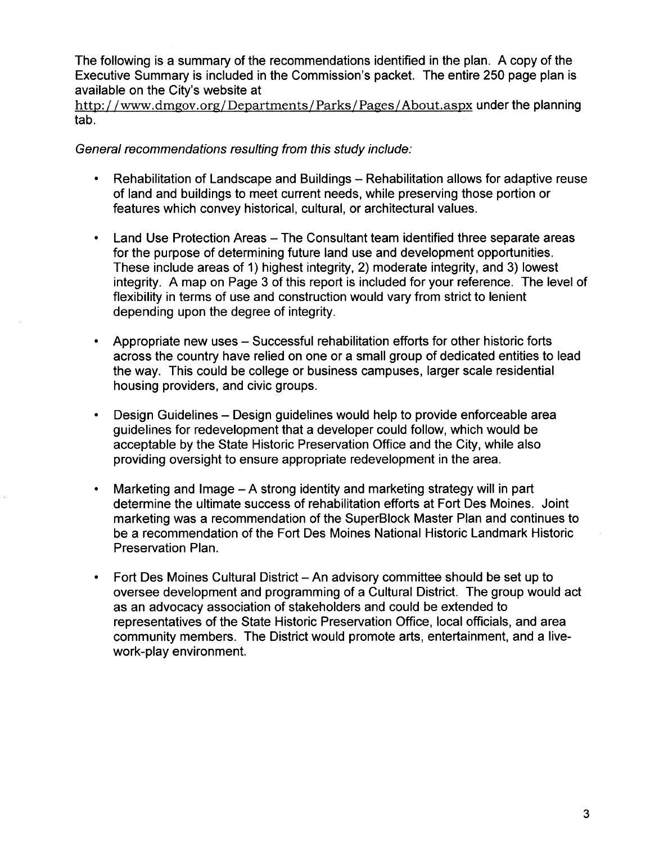The following is a summary of the recommendations identified in the plan. A copy of the Executive Summary is included in the Commission's packet. The entire 250 page plan is available on the City's website at

http://ww.dmgov.org/Departments/Parks/Pages/ About.aspx under the planning tab.

#### General recommendations resulting from this study include:

- Rehabilitation of Landscape and Buildings Rehabilitation allows for adaptive reuse of land and buildings to meet current needs, while preserving those portion or features which convey historical, cultural, or architectural values.
- Land Use Protection Areas The Consultant team identified three separate areas for the purpose of determining future land use and development opportunities. These include areas of 1) highest integrity, 2) moderate integrity, and 3) lowest integrity. A map on Page 3 of this report is included for your reference. The level of flexibility in terms of use and construction would vary from strict to lenient depending upon the degree of integrity.
- · Appropriate new uses Successful rehabilitation efforts for other historic forts across the country have relied on one or a small group of dedicated entities to lead the way. This could be college or business campuses, larger scale residential housing providers, and civic groups.
- · Design Guidelines Design guidelines would help to provide enforceable area guidelines for redevelopment that a developer could follow, which would be acceptable by the State Historic Preservation Office and the City, while also providing oversight to ensure appropriate redevelopment in the area.
- Marketing and Image A strong identity and marketing strategy will in part determine the ultimate success of rehabilitation efforts at Fort Des Moines. Joint marketing was a recommendation of the SuperBlock Master Plan and continues to be a recommendation of the Fort Des Moines National Historic Landmark Historic Preservation Plan.
- Fort Des Moines Cultural District An advisory committee should be set up to oversee development and programming of a Cultural District. The group would act as an advocacy association of stakeholders and could be extended to representatives of the State Historic Preservation Office, local officials, and area community members. The District would promote arts, entertainment, and a livework-play environment.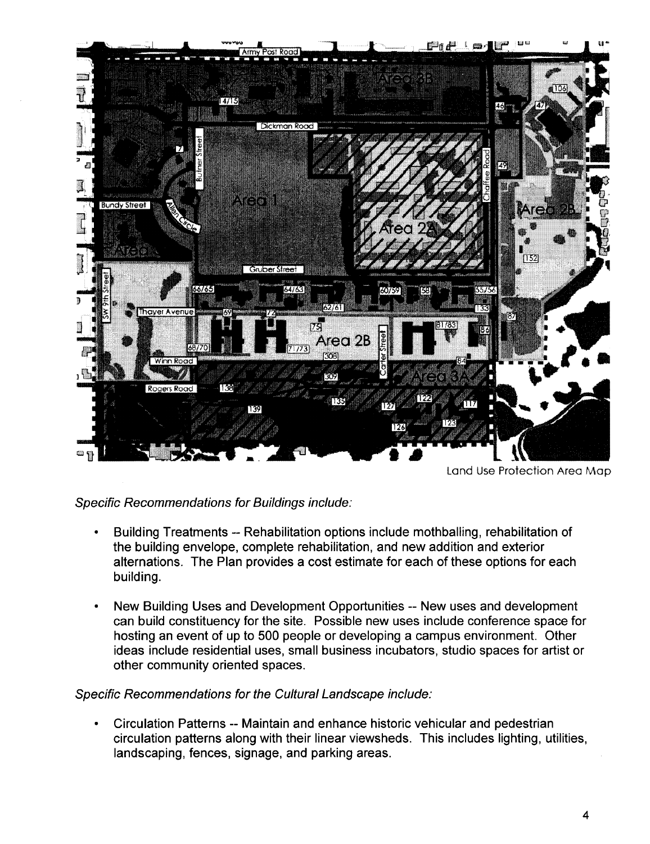

Land Use Protection Area Map

### Specific Recommendations for Buildings include:

- Building Treatments -- Rehabilitation options include mothballing, rehabilitation of the building envelope, complete rehabiltation, and new addition and exterior alternations. The Plan provides a cost estimate for each of these options for each building.
- · New Building Uses and Development Opportunities -- New uses and development can build constituency for the site. Possible new uses include conference space for hosting an event of up to 500 people or developing a campus environment. Other ideas include residential uses, small business incubators, studio spaces for artist or other community oriented spaces.

#### Specific Recommendations for the Cultural Landscape include:

· Circulation Patterns -- Maintain and enhance historic vehicular and pedestrian circulation patterns along with their linear viewsheds. This includes lighting, utilities, landscaping, fences, signage, and parking areas.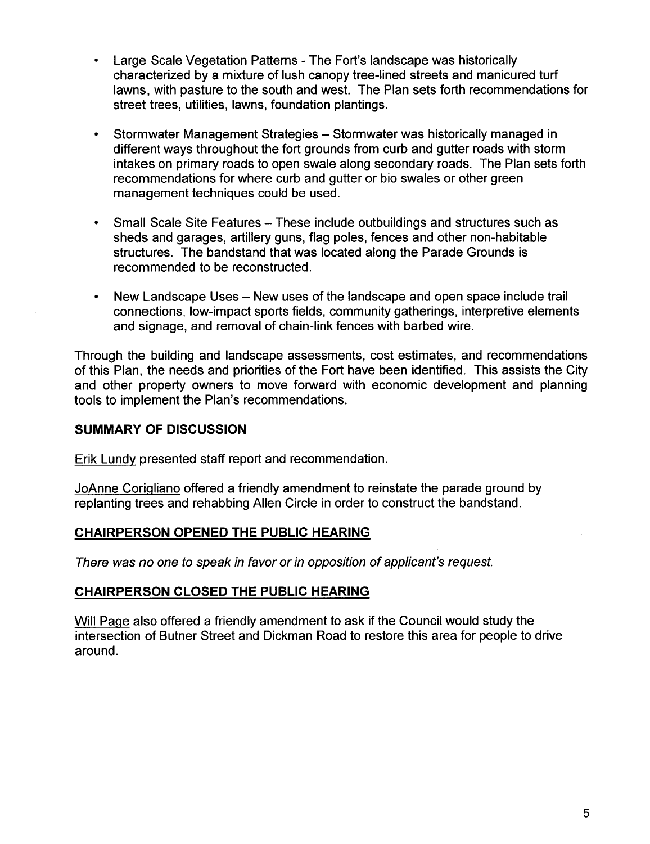- Large Scale Vegetation Patterns The Fort's landscape was historically characterized by a mixture of lush canopy tree-lined streets and manicured turf lawns, with pasture to the south and west. The Plan sets forth recommendations for street trees, utilities, lawns, foundation plantings.
- Stormwater Management Strategies Stormwater was historically managed in different ways throughout the fort grounds from curb and gutter roads with storm intakes on primary roads to open swale along secondary roads. The Plan sets forth recommendations for where curb and gutter or bio swales or other green management techniques could be used.
- · Small Scale Site Features These include outbuildings and structures such as sheds and garages, artillery guns, flag poles, fences and other non-habitable structures. The bandstand that was located along the Parade Grounds is recommended to be reconstructed.
- New Landscape Uses New uses of the landscape and open space include trail connections, low-impact sports fields, community gatherings, interpretive elements and signage, and removal of chain-link fences with barbed wire.

Through the building and landscape assessments, cost estimates, and recommendations of this Plan, the needs and priorities of the Fort have been identified. This assists the City and other property owners to move forward with economic development and planning tools to implement the Plan's recommendations.

### SUMMARY OF DISCUSSION

Erik Lundv presented staff report and recommendation.

JoAnne Coriqliano offered a friendly amendment to reinstate the parade ground by replanting trees and rehabbing Allen Circle in order to construct the bandstand.

#### CHAIRPERSON OPENED THE PUBLIC HEARING

There was no one to speak in favor or in opposition of applicant's request.

#### CHAIRPERSON CLOSED THE PUBLIC HEARING

Will Paqe also offered a friendly amendment to ask if the Council would study the intersection of Butner Street and Dickman Road to restore this area for people to drive around.